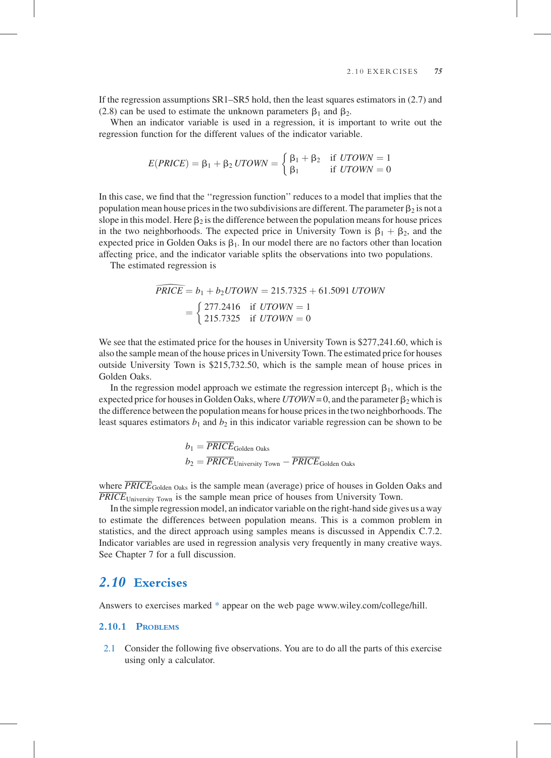

# 2.1 Consider the following five observations. You are to do all the parts of this exercise using only a calculator.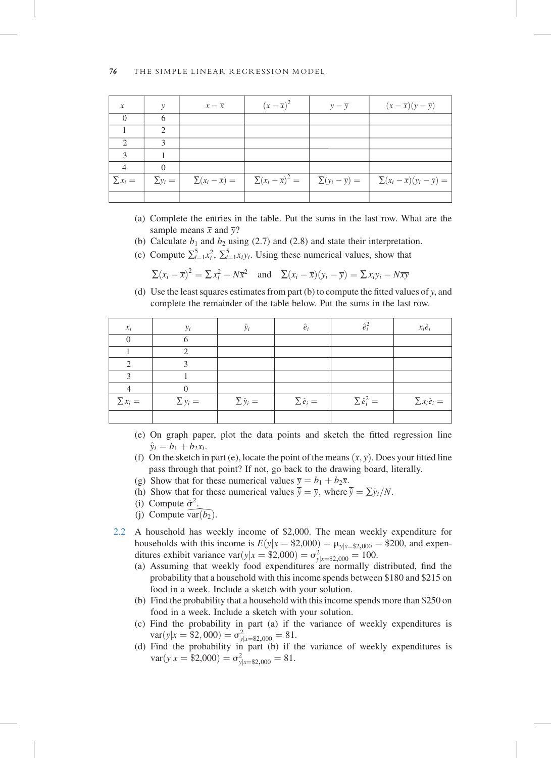| $\mathcal{X}$ | v              | $x - \overline{x}$ | $(x-\overline{x})^2$ | $y - \overline{y}$ | $(x-\overline{x})(y-\overline{y})$                                                                                                            |
|---------------|----------------|--------------------|----------------------|--------------------|-----------------------------------------------------------------------------------------------------------------------------------------------|
|               |                |                    |                      |                    |                                                                                                                                               |
|               | ∍              |                    |                      |                    |                                                                                                                                               |
|               | $\mathbf{3}$   |                    |                      |                    |                                                                                                                                               |
| $\mathbf{c}$  |                |                    |                      |                    |                                                                                                                                               |
|               |                |                    |                      |                    |                                                                                                                                               |
| $\sum x_i =$  | $\Sigma y_i =$ |                    |                      |                    | $\sum (x_i - \overline{x}) =$ $\sum (x_i - \overline{x})^2 =$ $\sum (y_i - \overline{y}) =$ $\sum (x_i - \overline{x})(y_i - \overline{y}) =$ |
|               |                |                    |                      |                    |                                                                                                                                               |

- (a) Complete the entries in the table. Put the sums in the last row. What are the sample means  $\bar{x}$  and  $\bar{y}$ ?
- (b) Calculate  $b_1$  and  $b_2$  using (2.7) and (2.8) and state their interpretation.
- (c) Compute  $\sum_{i=1}^{5} x_i^2$ ,  $\sum_{i=1}^{5} x_i y_i$ . Using these numerical values, show that

$$
\sum (x_i - \overline{x})^2 = \sum x_i^2 - N\overline{x}^2 \quad \text{and} \quad \sum (x_i - \overline{x})(y_i - \overline{y}) = \sum x_i y_i - N\overline{xy}
$$

(d) Use the least squares estimates from part (b) to compute the fitted values of  $y$ , and complete the remainder of the table below. Put the sums in the last row.

| $x_i$        | $y_i$        | $\hat{y}_i$        | $\hat{e}_i$        | $\hat{e}_i^2$        | $x_i \hat{e}_i$        |
|--------------|--------------|--------------------|--------------------|----------------------|------------------------|
| 0            |              |                    |                    |                      |                        |
|              |              |                    |                    |                      |                        |
|              |              |                    |                    |                      |                        |
| ◠            |              |                    |                    |                      |                        |
|              |              |                    |                    |                      |                        |
| $\sum x_i =$ | $\sum y_i =$ | $\sum \hat{y}_i =$ | $\sum \hat{e}_i =$ | $\sum \hat{e}_i^2 =$ | $\sum x_i \hat{e}_i =$ |
|              |              |                    |                    |                      |                        |

- (e) On graph paper, plot the data points and sketch the fitted regression line  $\hat{y}_i = b_1 + b_2x_i.$
- (f) On the sketch in part (e), locate the point of the means  $(\bar{x}, \bar{y})$ . Does your fitted line pass through that point? If not, go back to the drawing board, literally.
- (g) Show that for these numerical values  $\overline{y} = b_1 + b_2\overline{x}$ .
- (h) Show that for these numerical values  $\overline{\hat{y}} = \overline{y}$ , where  $\overline{\hat{y}} = \sum \hat{y}_i/N$ .
- (i) Compute  $\hat{\sigma}^2$ .
- 
- (j) Compute var( $b_2$ ).<br>A household has weekly income of \$2,000. The mean week<br>households with this income is  $E(y|x = $2,000) = \mu_{y|x = $2,000} =$ <br>ditures exhibit variance var( $y|x = $2,000) = \sigma_{y|x = $2,000}^2 = 100$ . 2.2 A household has weekly income of \$2,000. The mean weekly expenditure for households with this income is  $E(y|x = \$2,000) = \mu_{y|x = \$2,000} = \$200$ , and expen-
	- (a) Assuming that weekly food expenditures are normally distributed, find the probability that a household with this income spends between \$180 and \$215 on food in a week. Include a sketch with your solution.
	- (b) Find the probability that a household with this income spends more than \$250 on food in a week. Include a sketch with your solution.
	- (c) Find the probability in part (a) if the variance of weekly expenditures is  $var(y|x = $2,000) = \sigma_{y|x = $2,000}^2 = 81.$
	- (d) Find the probability in part (b) if the variance of weekly expenditures is  $\text{var}(y|x = \$2,000) = \sigma_{y|x = \$2,000}^2 = 81.$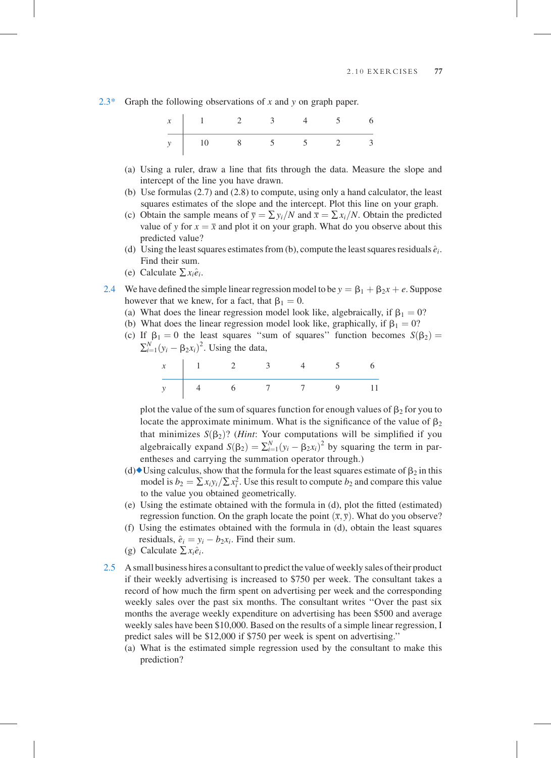2.3\* Graph the following observations of x and y on graph paper.



- (a) Using a ruler, draw a line that fits through the data. Measure the slope and intercept of the line you have drawn.
- (b) Use formulas (2.7) and (2.8) to compute, using only a hand calculator, the least squares estimates of the slope and the intercept. Plot this line on your graph.
- (c) Obtain the sample means of  $\overline{y} = \sum y_i/N$  and  $\overline{x} = \sum x_i/N$ . Obtain the predicted value of y for  $x = \overline{x}$  and plot it on your graph. What do you observe about this predicted value?
- (d) Using the least squares estimates from (b), compute the least squares residuals  $\hat{e}_i$ . Find their sum.
- (e) Calculate  $\sum x_i \hat{e}_i$ .
- 2.4 We have defined the simple linear regression model to be  $y = \beta_1 + \beta_2x + e$ . Suppose however that we knew, for a fact, that  $\beta_1 = 0$ .
	- (a) What does the linear regression model look like, algebraically, if  $\beta_1 = 0$ ?
	- (b) What does the linear regression model look like, graphically, if  $\beta_1 = 0$ ?
	- (c) If  $\beta_1 = 0$  the least squares "sum of squares" function becomes  $S(\beta_2) =$  $\sum_{i=1}^{N} (y_i - \beta_2 x_i)^2$ . Using the data,

x 123456 y 4 6 7 7 9 11

plot the value of the sum of squares function for enough values of  $\beta_2$  for you to locate the approximate minimum. What is the significance of the value of  $\beta_2$ that minimizes  $S(\beta_2)$ ? (*Hint*: Your computations will be simplified if you algebraically expand  $S(\beta_2) = \sum_{i=1}^{N} (y_i - \beta_2 x_i)^2$  by squaring the term in parentheses and carrying the summation operator through.)

- (d) Using calculus, show that the formula for the least squares estimate of  $\beta_2$  in this model is  $b_2 = \sum x_i y_i / \sum x_i^2$ . Use this result to compute  $b_2$  and compare this value to the value you obtained geometrically.
- (e) Using the estimate obtained with the formula in (d), plot the fitted (estimated) regression function. On the graph locate the point  $(\overline{x}, \overline{y})$ . What do you observe?
- (f) Using the estimates obtained with the formula in (d), obtain the least squares residuals,  $\hat{e}_i = y_i - b_2x_i$ . Find their sum.
- (g) Calculate  $\sum x_i \hat{e}_i$ .
- 2.5 A small business hires a consultant to predict the value of weekly sales oftheir product if their weekly advertising is increased to \$750 per week. The consultant takes a record of how much the firm spent on advertising per week and the corresponding weekly sales over the past six months. The consultant writes ''Over the past six months the average weekly expenditure on advertising has been \$500 and average weekly sales have been \$10,000. Based on the results of a simple linear regression, I predict sales will be \$12,000 if \$750 per week is spent on advertising.''
	- (a) What is the estimated simple regression used by the consultant to make this prediction?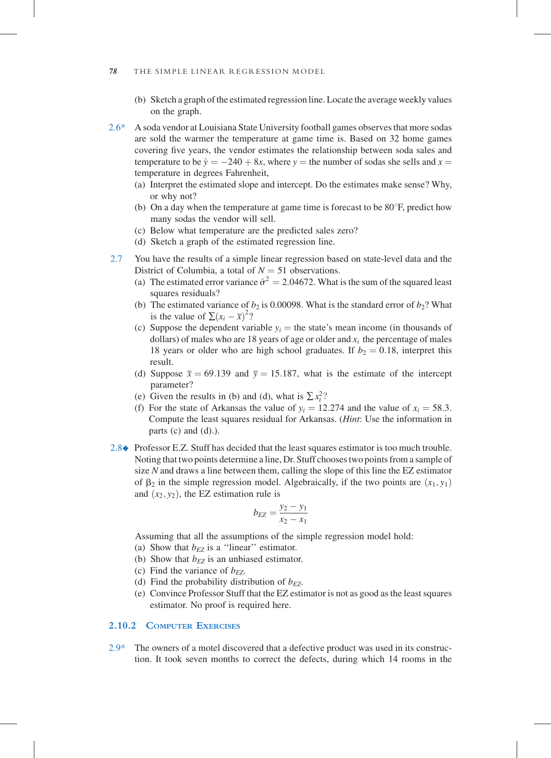- (b) Sketch a graph of the estimated regression line. Locate the average weekly values on the graph.
- 2.6\* A soda vendor at Louisiana State University football games observes that more sodas are sold the warmer the temperature at game time is. Based on 32 home games covering five years, the vendor estimates the relationship between soda sales and temperature to be  $\hat{y} = -240 + 8x$ , where y = the number of sodas she sells and  $x =$ temperature in degrees Fahrenheit,
	- (a) Interpret the estimated slope and intercept. Do the estimates make sense? Why, or why not?
	- (b) On a day when the temperature at game time is forecast to be  $80^\circ$ F, predict how many sodas the vendor will sell.
	- (c) Below what temperature are the predicted sales zero?
	- (d) Sketch a graph of the estimated regression line.
- 2.7 You have the results of a simple linear regression based on state-level data and the District of Columbia, a total of  $N = 51$  observations.
	- (a) The estimated error variance  $\hat{\sigma}^2 = 2.04672$ . What is the sum of the squared least squares residuals?
	- (b) The estimated variance of  $b_2$  is 0.00098. What is the standard error of  $b_2$ ? What is the value of  $\sum (x_i - \overline{x})^2$ ?
	- (c) Suppose the dependent variable  $y_i$  = the state's mean income (in thousands of dollars) of males who are 18 years of age or older and  $x_i$  the percentage of males 18 years or older who are high school graduates. If  $b_2 = 0.18$ , interpret this result.
	- (d) Suppose  $\bar{x} = 69.139$  and  $\bar{y} = 15.187$ , what is the estimate of the intercept parameter?
	- (e) Given the results in (b) and (d), what is  $\sum x_i^2$ ?
	- (f) For the state of Arkansas the value of  $y_i = 12.274$  and the value of  $x_i = 58.3$ . Compute the least squares residual for Arkansas. (Hint: Use the information in parts  $(c)$  and  $(d)$ .).
- 2.8♦ Professor E.Z. Stuff has decided that the least squares estimator is too much trouble. Noting that two points determine a line, Dr. Stuff chooses two points from a sample of size  $N$  and draws a line between them, calling the slope of this line the EZ estimator of  $\beta_2$  in the simple regression model. Algebraically, if the two points are  $(x_1, y_1)$ and  $(x_2, y_2)$ , the EZ estimation rule is

$$
b_{EZ} = \frac{y_2 - y_1}{x_2 - x_1}
$$

Assuming that all the assumptions of the simple regression model hold:

- (a) Show that  $b_{EZ}$  is a "linear" estimator.
- (b) Show that  $b_{EZ}$  is an unbiased estimator.
- (c) Find the variance of  $b_{EZ}$ .
- (d) Find the probability distribution of  $b_{EZ}$ .
- (e) Convince Professor Stuff that the EZ estimator is not as good as the least squares estimator. No proof is required here.

# 2.10.2 COMPUTER EXERCISES

2.9\* The owners of a motel discovered that a defective product was used in its construction. It took seven months to correct the defects, during which 14 rooms in the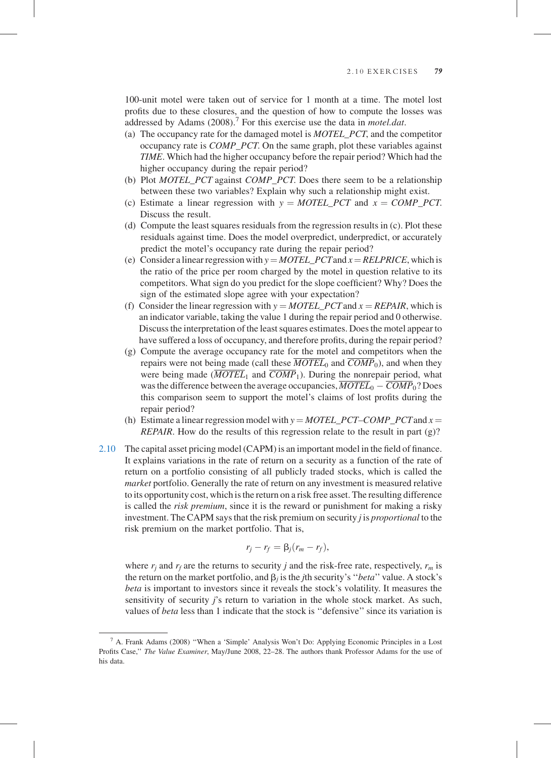100-unit motel were taken out of service for 1 month at a time. The motel lost profits due to these closures, and the question of how to compute the losses was addressed by Adams  $(2008)$ .<sup>7</sup> For this exercise use the data in *motel.dat.* 

- (a) The occupancy rate for the damaged motel is MOTEL\_PCT, and the competitor occupancy rate is COMP\_PCT. On the same graph, plot these variables against TIME. Which had the higher occupancy before the repair period? Which had the higher occupancy during the repair period?
- (b) Plot *MOTEL PCT* against *COMP PCT*. Does there seem to be a relationship between these two variables? Explain why such a relationship might exist.
- (c) Estimate a linear regression with  $y = MOTEL\_PCT$  and  $x = COMP\_PCT$ . Discuss the result.
- (d) Compute the least squares residuals from the regression results in (c). Plot these residuals against time. Does the model overpredict, underpredict, or accurately predict the motel's occupancy rate during the repair period?
- (e) Consider a linear regression with  $y = MOTEL\_PCT$  and  $x = RELPRICE$ , which is the ratio of the price per room charged by the motel in question relative to its competitors. What sign do you predict for the slope coefficient? Why? Does the sign of the estimated slope agree with your expectation?
- (f) Consider the linear regression with  $y = MOTEL$  PCT and  $x = REPAR$ , which is an indicator variable, taking the value 1 during the repair period and 0 otherwise. Discuss the interpretation of the least squares estimates. Does the motel appear to have suffered a loss of occupancy, and therefore profits, during the repair period?
- (g) Compute the average occupancy rate for the motel and competitors when the repairs were not being made (call these  $\overline{MOTEL}_0$  and  $\overline{COMP}_0$ ), and when they were being made  $(\overline{MOTEL}_1$  and  $\overline{COMP}_1$ ). During the nonrepair period, what was the difference between the average occupancies,  $\overline{MOTEL}_0 - \overline{COMP}_0$ ? Does this comparison seem to support the motel's claims of lost profits during the repair period?
- (h) Estimate a linear regression model with  $y = MOTEL\_PCT-COMP\_PCT$  and  $x =$ REPAIR. How do the results of this regression relate to the result in part (g)?
- 2.10 The capital asset pricing model (CAPM) is an important model in the field of finance. It explains variations in the rate of return on a security as a function of the rate of return on a portfolio consisting of all publicly traded stocks, which is called the market portfolio. Generally the rate of return on any investment is measured relative to its opportunity cost, which is the return on a risk free asset. The resulting difference is called the risk premium, since it is the reward or punishment for making a risky investment. The CAPM says that the risk premium on security j is proportional to the risk premium on the market portfolio. That is,

$$
r_j-r_f=\beta_j(r_m-r_f),
$$

where  $r_i$  and  $r_f$  are the returns to security j and the risk-free rate, respectively,  $r_m$  is the return on the market portfolio, and  $\beta_i$  is the *j*th security's "*beta*" value. A stock's beta is important to investors since it reveals the stock's volatility. It measures the sensitivity of security j's return to variation in the whole stock market. As such, values of beta less than 1 indicate that the stock is ''defensive'' since its variation is

<sup>7</sup> A. Frank Adams (2008) ''When a 'Simple' Analysis Won't Do: Applying Economic Principles in a Lost Profits Case,'' The Value Examiner, May/June 2008, 22–28. The authors thank Professor Adams for the use of his data.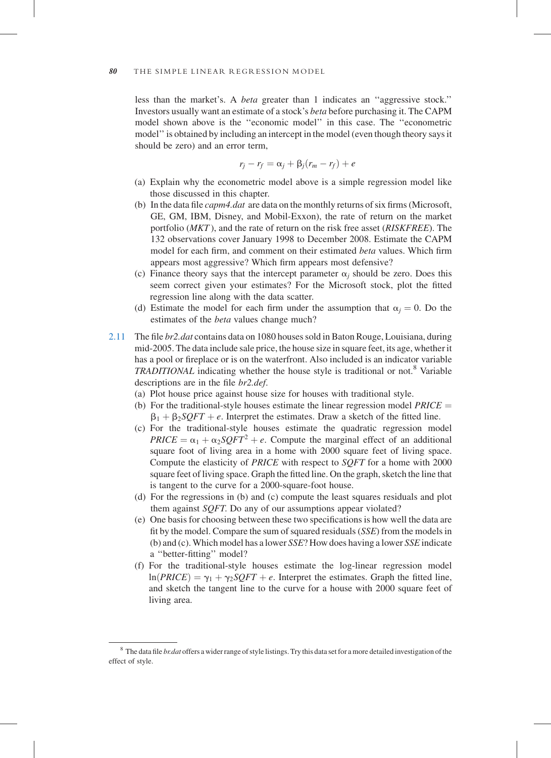less than the market's. A beta greater than 1 indicates an ''aggressive stock.'' Investors usually want an estimate of a stock's beta before purchasing it. The CAPM model shown above is the ''economic model'' in this case. The ''econometric model'' is obtained by including an intercept in the model (even though theory says it should be zero) and an error term,

$$
r_j - r_f = \alpha_j + \beta_j (r_m - r_f) + e
$$

- (a) Explain why the econometric model above is a simple regression model like those discussed in this chapter.
- (b) In the data file capm4.dat are data on the monthly returns of six firms (Microsoft, GE, GM, IBM, Disney, and Mobil-Exxon), the rate of return on the market portfolio (*MKT*), and the rate of return on the risk free asset (*RISKFREE*). The 132 observations cover January 1998 to December 2008. Estimate the CAPM model for each firm, and comment on their estimated beta values. Which firm appears most aggressive? Which firm appears most defensive?
- (c) Finance theory says that the intercept parameter  $\alpha_i$  should be zero. Does this seem correct given your estimates? For the Microsoft stock, plot the fitted regression line along with the data scatter.
- (d) Estimate the model for each firm under the assumption that  $\alpha_i = 0$ . Do the estimates of the *beta* values change much?
- 2.11 The file *br2.dat* contains data on 1080 houses sold in Baton Rouge, Louisiana, during mid-2005. The data include sale price, the house size in square feet, its age, whether it has a pool or fireplace or is on the waterfront. Also included is an indicator variable TRADITIONAL indicating whether the house style is traditional or not.<sup>8</sup> Variable descriptions are in the file br2.def.
	- (a) Plot house price against house size for houses with traditional style.
	- (b) For the traditional-style houses estimate the linear regression model  $PRICE =$  $\beta_1 + \beta_2 SQFT + e$ . Interpret the estimates. Draw a sketch of the fitted line.
	- (c) For the traditional-style houses estimate the quadratic regression model  $PRICE = \alpha_1 + \alpha_2 SQFT^2 + e$ . Compute the marginal effect of an additional square foot of living area in a home with 2000 square feet of living space. Compute the elasticity of PRICE with respect to SQFT for a home with 2000 square feet of living space. Graph the fitted line. On the graph, sketch the line that is tangent to the curve for a 2000-square-foot house.
	- (d) For the regressions in (b) and (c) compute the least squares residuals and plot them against SQFT. Do any of our assumptions appear violated?
	- (e) One basis for choosing between these two specifications is how well the data are fit by the model. Compare the sum of squared residuals (SSE) from the models in (b) and (c). Which model has a lower SSE? How does having a lower SSE indicate a ''better-fitting'' model?
	- (f) For the traditional-style houses estimate the log-linear regression model  $ln(PRICE) = \gamma_1 + \gamma_2 SOFT + e$ . Interpret the estimates. Graph the fitted line, and sketch the tangent line to the curve for a house with 2000 square feet of living area.

 $8$  The data file *br.dat* offers a wider range of style listings. Try this data set for a more detailed investigation of the effect of style.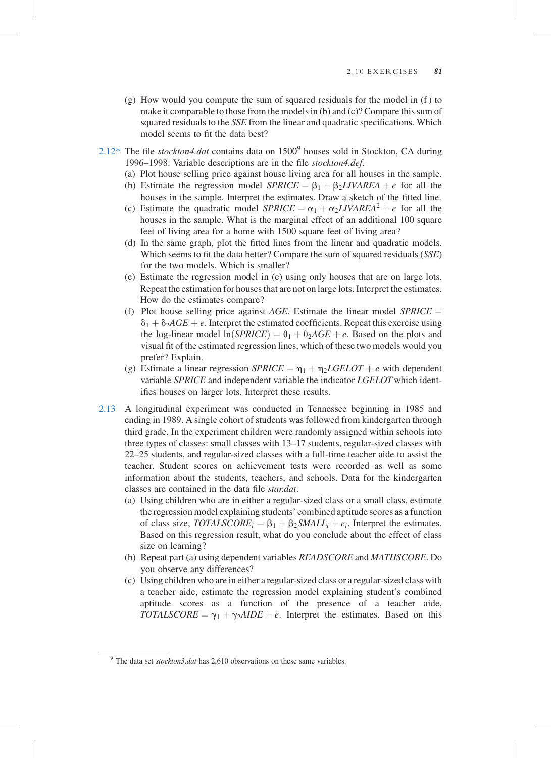- (g) How would you compute the sum of squared residuals for the model in (f ) to make it comparable to those from the models in (b) and (c)? Compare this sum of squared residuals to the SSE from the linear and quadratic specifications. Which model seems to fit the data best?
- $2.12^*$  The file *stockton4.dat* contains data on  $1500^9$  houses sold in Stockton, CA during 1996–1998. Variable descriptions are in the file stockton4.def.
	- (a) Plot house selling price against house living area for all houses in the sample.
	- (b) Estimate the regression model  $SPRICE = \beta_1 + \beta_2 LIVAREA + e$  for all the houses in the sample. Interpret the estimates. Draw a sketch of the fitted line.
	- (c) Estimate the quadratic model  $SPRICE = \alpha_1 + \alpha_2 LIVAREA^2 + e$  for all the houses in the sample. What is the marginal effect of an additional 100 square feet of living area for a home with 1500 square feet of living area?
	- (d) In the same graph, plot the fitted lines from the linear and quadratic models. Which seems to fit the data better? Compare the sum of squared residuals (SSE) for the two models. Which is smaller?
	- (e) Estimate the regression model in (c) using only houses that are on large lots. Repeat the estimation for houses that are not on large lots. Interpret the estimates. How do the estimates compare?
	- (f) Plot house selling price against AGE. Estimate the linear model  $SPRICE =$  $\delta_1 + \delta_2 AGE + e$ . Interpret the estimated coefficients. Repeat this exercise using the log-linear model  $ln(SPRICE) = \theta_1 + \theta_2AGE + e$ . Based on the plots and visual fit of the estimated regression lines, which of these two models would you prefer? Explain.
	- (g) Estimate a linear regression  $SPRICE = \eta_1 + \eta_2 LGELOT + e$  with dependent variable SPRICE and independent variable the indicator LGELOT which identifies houses on larger lots. Interpret these results.
- 2.13 A longitudinal experiment was conducted in Tennessee beginning in 1985 and ending in 1989. A single cohort of students was followed from kindergarten through third grade. In the experiment children were randomly assigned within schools into three types of classes: small classes with 13–17 students, regular-sized classes with 22–25 students, and regular-sized classes with a full-time teacher aide to assist the teacher. Student scores on achievement tests were recorded as well as some information about the students, teachers, and schools. Data for the kindergarten classes are contained in the data file star.dat.
	- (a) Using children who are in either a regular-sized class or a small class, estimate the regression model explaining students' combined aptitude scores as a function of class size,  $TOTALSCORE<sub>i</sub> = \beta_1 + \beta_2 SMALL<sub>i</sub> + e<sub>i</sub>$ . Interpret the estimates. Based on this regression result, what do you conclude about the effect of class size on learning?
	- (b) Repeat part (a) using dependent variables READSCORE and MATHSCORE. Do you observe any differences?
	- (c) Using children who are in either a regular-sized class or a regular-sized class with a teacher aide, estimate the regression model explaining student's combined aptitude scores as a function of the presence of a teacher aide, TOTALSCORE =  $\gamma_1 + \gamma_2 A IDE + e$ . Interpret the estimates. Based on this

 $9$  The data set stockton3.dat has 2,610 observations on these same variables.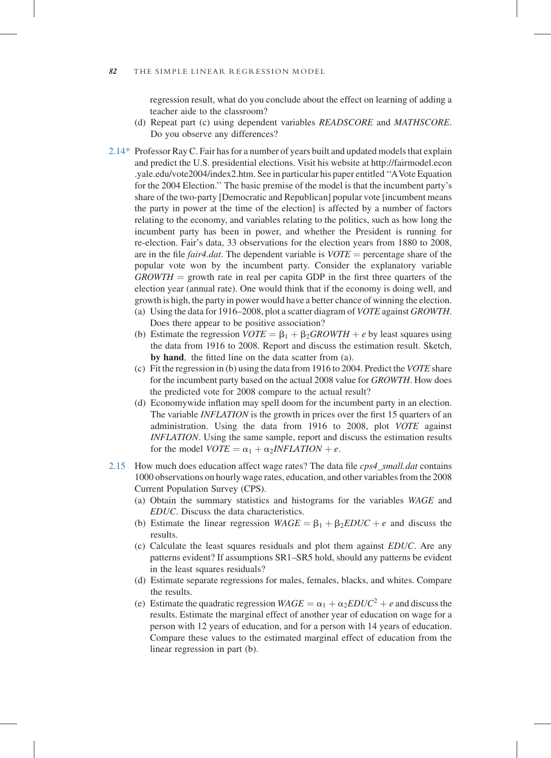#### 82 THE SIMPLE LINEAR REGRESSION MODEL

regression result, what do you conclude about the effect on learning of adding a teacher aide to the classroom?

- (d) Repeat part (c) using dependent variables READSCORE and MATHSCORE. Do you observe any differences?
- 2.14\* Professor Ray C. Fair has for a number of years built and updated models that explain and predict the U.S. presidential elections. Visit his website at [http://fairmodel.econ](http://fairmodel.econ.yale.edu/vote2004/index2.htm) [.yale.edu/vote2004/index2.htm.](http://fairmodel.econ.yale.edu/vote2004/index2.htm) See in particular his paper entitled ''AVote Equation for the 2004 Election.'' The basic premise of the model is that the incumbent party's share of the two-party [Democratic and Republican] popular vote [incumbent means the party in power at the time of the election] is affected by a number of factors relating to the economy, and variables relating to the politics, such as how long the incumbent party has been in power, and whether the President is running for re-election. Fair's data, 33 observations for the election years from 1880 to 2008, are in the file *fair4.dat*. The dependent variable is  $VOTE$  = percentage share of the popular vote won by the incumbent party. Consider the explanatory variable  $GROWTH =$  growth rate in real per capita GDP in the first three quarters of the election year (annual rate). One would think that if the economy is doing well, and growth is high, the party in power would have a better chance of winning the election.
	- (a) Using the data for 1916–2008, plot a scatter diagram of VOTE against GROWTH. Does there appear to be positive association?
	- (b) Estimate the regression  $VOTE = \beta_1 + \beta_2 GROWTH + e$  by least squares using the data from 1916 to 2008. Report and discuss the estimation result. Sketch, by hand, the fitted line on the data scatter from (a).
	- (c) Fit the regression in (b) using the data from 1916 to 2004. Predict the VOTE share for the incumbent party based on the actual 2008 value for GROWTH. How does the predicted vote for 2008 compare to the actual result?
	- (d) Economywide inflation may spell doom for the incumbent party in an election. The variable INFLATION is the growth in prices over the first 15 quarters of an administration. Using the data from 1916 to 2008, plot VOTE against INFLATION. Using the same sample, report and discuss the estimation results for the model  $VOTE = \alpha_1 + \alpha_2 INFLATION + e$ .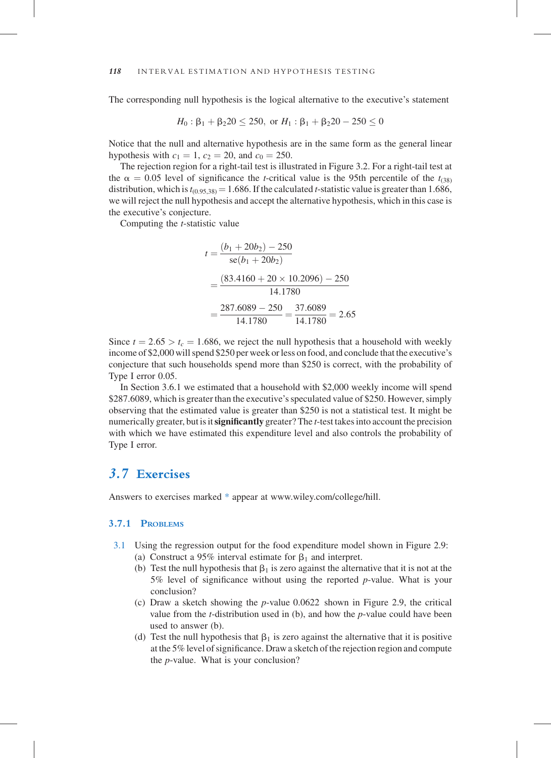## 3.7.1 PROBLEMS

- 3.1 Using the regression output for the food expenditure model shown in Figure 2.9: (a) Construct a 95% interval estimate for  $\beta_1$  and interpret.
	- (b) Test the null hypothesis that  $\beta_1$  is zero against the alternative that it is not at the 5% level of significance without using the reported p-value. What is your conclusion?
	- (c) Draw a sketch showing the p-value 0.0622 shown in Figure 2.9, the critical value from the t-distribution used in (b), and how the p-value could have been used to answer (b).
	- (d) Test the null hypothesis that  $\beta_1$  is zero against the alternative that it is positive at the 5% level of significance. Draw a sketch of the rejection region and compute the p-value. What is your conclusion?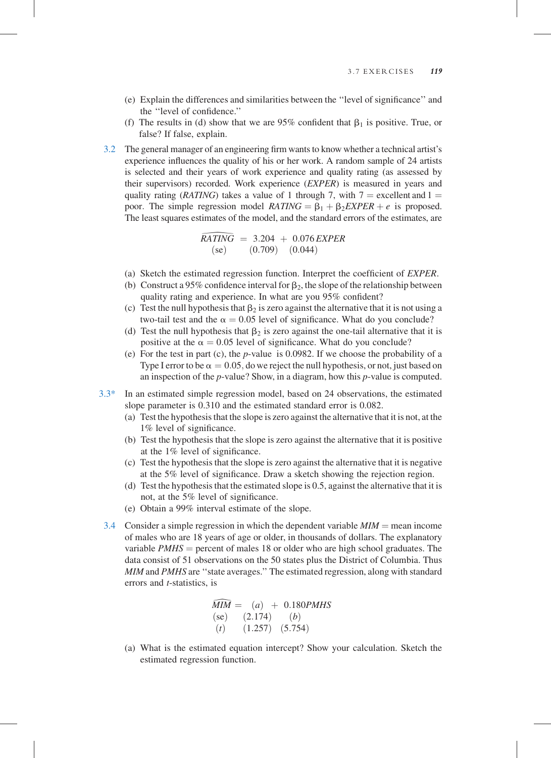- (e) Explain the differences and similarities between the ''level of significance'' and the ''level of confidence.''
- (f) The results in (d) show that we are 95% confident that  $\beta_1$  is positive. True, or false? If false, explain.
- 3.2 The general manager of an engineering firm wants to know whether a technical artist's experience influences the quality of his or her work. A random sample of 24 artists is selected and their years of work experience and quality rating (as assessed by their supervisors) recorded. Work experience (EXPER) is measured in years and quality rating (*RATING*) takes a value of 1 through 7, with  $7 =$  excellent and  $1 =$ poor. The simple regression model  $RATING = B_1 + B_2EXPER + e$  is proposed. The least squares estimates of the model, and the standard errors of the estimates, are

$$
RATING = 3.204 + 0.076 EXPER
$$
  
(se) (0.709) (0.044)

- (a) Sketch the estimated regression function. Interpret the coefficient of EXPER.
- RATING = 3.204 + 0.076 EXPER<br>
(se) (0.709) (0.044)<br>
(a) Sketch the estimated regression function. Interpret the coefficient of EXPER.<br>
(b) Construct a 95% confidence interval for  $\beta_2$ , the slope of the relationship betw quality rating and experience. In what are you 95% confident?
- (c) Test the null hypothesis that  $\beta_2$  is zero against the alternative that it is not using a two-tail test and the  $\alpha = 0.05$  level of significance. What do you conclude?
- (d) Test the null hypothesis that  $\beta_2$  is zero against the one-tail alternative that it is positive at the  $\alpha = 0.05$  level of significance. What do you conclude?
- (e) For the test in part (c), the p-value is 0.0982. If we choose the probability of a Type I error to be  $\alpha = 0.05$ , do we reject the null hypothesis, or not, just based on an inspection of the p-value? Show, in a diagram, how this p-value is computed.
- 3.3\* In an estimated simple regression model, based on 24 observations, the estimated slope parameter is 0.310 and the estimated standard error is 0.082.
	- (a) Test the hypothesis that the slope is zero against the alternative that it is not, at the 1% level of significance.
	- (b) Test the hypothesis that the slope is zero against the alternative that it is positive at the 1% level of significance.
	- (c) Test the hypothesis that the slope is zero against the alternative that it is negative at the 5% level of significance. Draw a sketch showing the rejection region.
	- (d) Test the hypothesis that the estimated slope is 0.5, against the alternative that it is not, at the 5% level of significance.
	- (e) Obtain a 99% interval estimate of the slope.
	- 3.4 Consider a simple regression in which the dependent variable  $MIM$  = mean income of males who are 18 years of age or older, in thousands of dollars. The explanatory variable  $PMHS$  = percent of males 18 or older who are high school graduates. The data consist of 51 observations on the 50 states plus the District of Columbia. Thus MIM and PMHS are ''state averages.'' The estimated regression, along with standard errors and t-statistics, is

$$
MIM = (a) + 0.180PMHS
$$
  
(se) (2.174) (b)  
(t) (1.257) (5.754)

(a) What is the estimated equation intercept? Show your calculation. Sketch the estimated regression function.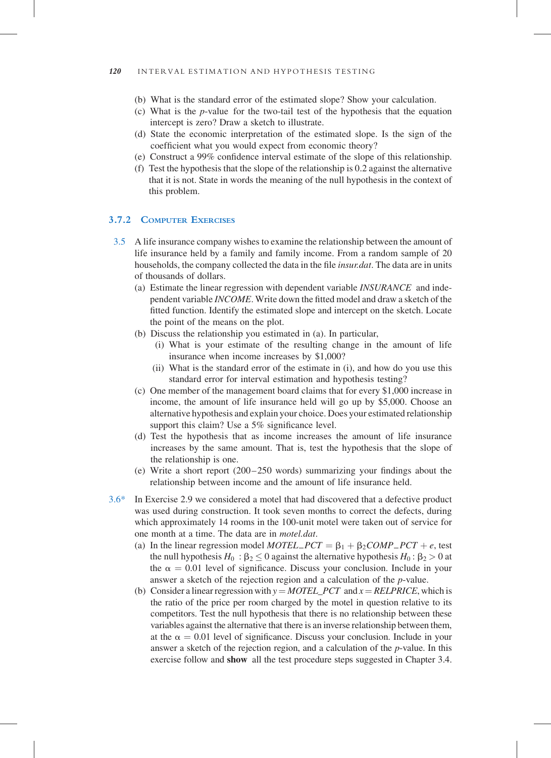- (b) What is the standard error of the estimated slope? Show your calculation.
- (c) What is the p-value for the two-tail test of the hypothesis that the equation intercept is zero? Draw a sketch to illustrate.
- (d) State the economic interpretation of the estimated slope. Is the sign of the coefficient what you would expect from economic theory?
- (e) Construct a 99% confidence interval estimate of the slope of this relationship.
- (f) Test the hypothesis that the slope of the relationship is 0.2 against the alternative that it is not. State in words the meaning of the null hypothesis in the context of this problem.

### 3.7.2 COMPUTER EXERCISES

- 3.5 A life insurance company wishes to examine the relationship between the amount of life insurance held by a family and family income. From a random sample of 20 households, the company collected the data in the file insur.dat. The data are in units of thousands of dollars.
	- (a) Estimate the linear regression with dependent variable INSURANCE and independent variable INCOME. Write down the fitted model and draw a sketch of the fitted function. Identify the estimated slope and intercept on the sketch. Locate the point of the means on the plot.
	- (b) Discuss the relationship you estimated in (a). In particular,
		- (i) What is your estimate of the resulting change in the amount of life insurance when income increases by \$1,000?
		- (ii) What is the standard error of the estimate in (i), and how do you use this standard error for interval estimation and hypothesis testing?
	- (c) One member of the management board claims that for every \$1,000 increase in income, the amount of life insurance held will go up by \$5,000. Choose an alternative hypothesis and explain your choice. Does your estimated relationship support this claim? Use a 5% significance level.
	- (d) Test the hypothesis that as income increases the amount of life insurance increases by the same amount. That is, test the hypothesis that the slope of the relationship is one.
	- (e) Write a short report (200 –250 words) summarizing your findings about the relationship between income and the amount of life insurance held.
- 3.6\* In Exercise 2.9 we considered a motel that had discovered that a defective product was used during construction. It took seven months to correct the defects, during which approximately 14 rooms in the 100-unit motel were taken out of service for one month at a time. The data are in motel.dat.
	- (a) In the linear regression model *MOTEL\_PCT* =  $\beta_1 + \beta_2COMP\_PCT + e$ , test the null hypothesis  $H_0 : \beta_2 \leq 0$  against the alternative hypothesis  $H_0 : \beta_2 > 0$  at the  $\alpha = 0.01$  level of significance. Discuss your conclusion. Include in your answer a sketch of the rejection region and a calculation of the p-value.
	- (b) Consider a linear regression with  $y = MOTEL\_PCT$  and  $x = RELPRICE$ , which is the ratio of the price per room charged by the motel in question relative to its competitors. Test the null hypothesis that there is no relationship between these variables against the alternative that there is an inverse relationship between them, at the  $\alpha = 0.01$  level of significance. Discuss your conclusion. Include in your answer a sketch of the rejection region, and a calculation of the p-value. In this exercise follow and show all the test procedure steps suggested in Chapter 3.4.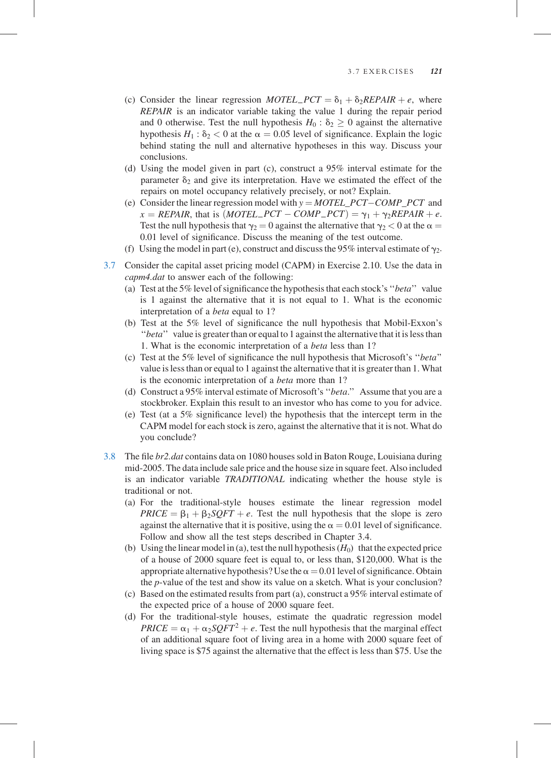- (c) Consider the linear regression MOTEL\_PCT =  $\delta_1 + \delta_2 REPAIR + e$ , where REPAIR is an indicator variable taking the value 1 during the repair period and 0 otherwise. Test the null hypothesis  $H_0$ :  $\delta_2 > 0$  against the alternative hypothesis  $H_1$ :  $\delta_2$  < 0 at the  $\alpha$  = 0.05 level of significance. Explain the logic behind stating the null and alternative hypotheses in this way. Discuss your conclusions.
- (d) Using the model given in part (c), construct a 95% interval estimate for the parameter  $\delta_2$  and give its interpretation. Have we estimated the effect of the repairs on motel occupancy relatively precisely, or not? Explain.
- (e) Consider the linear regression model with  $y = MOTEL\_PCT-COMP\_PCT$  and  $x = REPAIR$ , that is  $(MOTEL\_PCT - COMP\_PCT) = \gamma_1 + \gamma_2 REPAIR + e$ . Test the null hypothesis that  $\gamma_2 = 0$  against the alternative that  $\gamma_2 < 0$  at the  $\alpha =$ 0.01 level of significance. Discuss the meaning of the test outcome.
- (f) Using the model in part (e), construct and discuss the 95% interval estimate of  $\gamma_2$ .
- 3.7 Consider the capital asset pricing model (CAPM) in Exercise 2.10. Use the data in capm4.dat to answer each of the following:
	- (a) Test at the 5% level of significance the hypothesis that each stock's ''beta'' value is 1 against the alternative that it is not equal to 1. What is the economic interpretation of a beta equal to 1?
	- (b) Test at the 5% level of significance the null hypothesis that Mobil-Exxon's "beta" value is greater than or equal to 1 against the alternative that it is less than 1. What is the economic interpretation of a beta less than 1?
	- (c) Test at the 5% level of significance the null hypothesis that Microsoft's ''beta'' value is less than or equal to 1 against the alternative that it is greater than 1. What is the economic interpretation of a beta more than 1?
	- (d) Construct a 95% interval estimate of Microsoft's ''beta.'' Assume that you are a stockbroker. Explain this result to an investor who has come to you for advice.
	- (e) Test (at a 5% significance level) the hypothesis that the intercept term in the CAPM model for each stock is zero, against the alternative that it is not. What do you conclude?
- 3.8 The file br2.dat contains data on 1080 houses sold in Baton Rouge, Louisiana during mid-2005. The data include sale price and the house size in square feet. Also included is an indicator variable TRADITIONAL indicating whether the house style is traditional or not.
	- (a) For the traditional-style houses estimate the linear regression model  $PRICE = \beta_1 + \beta_2 SQFT + e$ . Test the null hypothesis that the slope is zero against the alternative that it is positive, using the  $\alpha = 0.01$  level of significance. Follow and show all the test steps described in Chapter 3.4.
	- (b) Using the linear model in (a), test the null hypothesis  $(H_0)$  that the expected price of a house of 2000 square feet is equal to, or less than, \$120,000. What is the appropriate alternative hypothesis? Use the  $\alpha = 0.01$  level of significance. Obtain the p-value of the test and show its value on a sketch. What is your conclusion?
	- (c) Based on the estimated results from part (a), construct a 95% interval estimate of the expected price of a house of 2000 square feet.
	- (d) For the traditional-style houses, estimate the quadratic regression model  $PRICE = \alpha_1 + \alpha_2 SOFT^2 + e$ . Test the null hypothesis that the marginal effect of an additional square foot of living area in a home with 2000 square feet of living space is \$75 against the alternative that the effect is less than \$75. Use the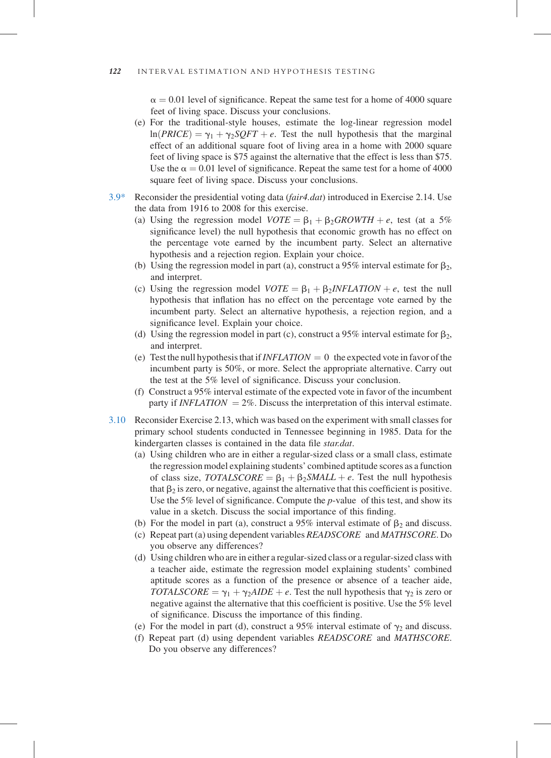$\alpha = 0.01$  level of significance. Repeat the same test for a home of 4000 square feet of living space. Discuss your conclusions.

- (e) For the traditional-style houses, estimate the log-linear regression model  $ln(PRICE) = \gamma_1 + \gamma_2 SQFT + e$ . Test the null hypothesis that the marginal effect of an additional square foot of living area in a home with 2000 square feet of living space is \$75 against the alternative that the effect is less than \$75. Use the  $\alpha = 0.01$  level of significance. Repeat the same test for a home of 4000 square feet of living space. Discuss your conclusions.
- $3.9*$  Reconsider the presidential voting data (*fair4.dat*) introduced in Exercise 2.14. Use the data from 1916 to 2008 for this exercise.
	- (a) Using the regression model  $VOTE = \beta_1 + \beta_2 GROWTH + e$ , test (at a 5%) significance level) the null hypothesis that economic growth has no effect on the percentage vote earned by the incumbent party. Select an alternative hypothesis and a rejection region. Explain your choice.
	- (b) Using the regression model in part (a), construct a 95% interval estimate for  $\beta_2$ , and interpret.
	- (c) Using the regression model  $VOTE = \beta_1 + \beta_2 INFLATION + e$ , test the null hypothesis that inflation has no effect on the percentage vote earned by the incumbent party. Select an alternative hypothesis, a rejection region, and a significance level. Explain your choice.
	- (d) Using the regression model in part (c), construct a 95% interval estimate for  $\beta_2$ , and interpret.
	- (e) Test the null hypothesis that if  $INFLATION = 0$  the expected vote in favor of the incumbent party is 50%, or more. Select the appropriate alternative. Carry out the test at the 5% level of significance. Discuss your conclusion.
	- (f) Construct a 95% interval estimate of the expected vote in favor of the incumbent party if *INFLATION* =  $2\%$ . Discuss the interpretation of this interval estimate.
- 3.10 Reconsider Exercise 2.13, which was based on the experiment with small classes for primary school students conducted in Tennessee beginning in 1985. Data for the kindergarten classes is contained in the data file star.dat.
	- (a) Using children who are in either a regular-sized class or a small class, estimate the regression model explaining students' combined aptitude scores as a function of class size,  $TOTALSCORE =  $\beta_1 + \beta_2 SMALL + e$ . Test the null hypothesis$ that  $\beta_2$  is zero, or negative, against the alternative that this coefficient is positive. Use the 5% level of significance. Compute the  $p$ -value of this test, and show its value in a sketch. Discuss the social importance of this finding.
	- (b) For the model in part (a), construct a 95% interval estimate of  $\beta_2$  and discuss.
	- (c) Repeat part (a) using dependent variables READSCORE and MATHSCORE. Do you observe any differences?
	- (d) Using children who are in either a regular-sized class or a regular-sized class with a teacher aide, estimate the regression model explaining students' combined aptitude scores as a function of the presence or absence of a teacher aide, TOTALSCORE =  $\gamma_1 + \gamma_2 A IDE + e$ . Test the null hypothesis that  $\gamma_2$  is zero or negative against the alternative that this coefficient is positive. Use the 5% level of significance. Discuss the importance of this finding.
	- (e) For the model in part (d), construct a 95% interval estimate of  $\gamma_2$  and discuss.
	- (f) Repeat part (d) using dependent variables READSCORE and MATHSCORE. Do you observe any differences?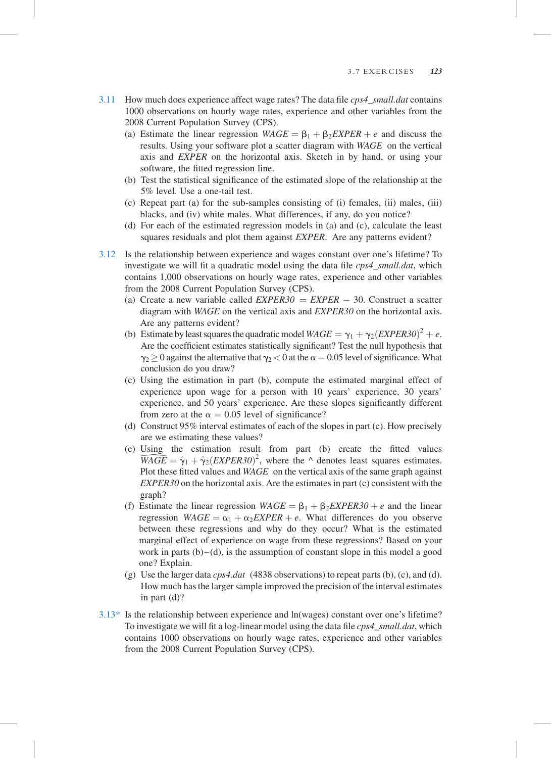- 3.11 How much does experience affect wage rates? The data file  $cps4$  small.dat contains 1000 observations on hourly wage rates, experience and other variables from the 2008 Current Population Survey (CPS).
	- (a) Estimate the linear regression  $WAGE = \beta_1 + \beta_2 EXPER + e$  and discuss the results. Using your software plot a scatter diagram with WAGE on the vertical axis and EXPER on the horizontal axis. Sketch in by hand, or using your software, the fitted regression line.
	- (b) Test the statistical significance of the estimated slope of the relationship at the 5% level. Use a one-tail test.
	- (c) Repeat part (a) for the sub-samples consisting of (i) females, (ii) males, (iii) blacks, and (iv) white males. What differences, if any, do you notice?
	- (d) For each of the estimated regression models in (a) and (c), calculate the least squares residuals and plot them against EXPER. Are any patterns evident?
- 3.12 Is the relationship between experience and wages constant over one's lifetime? To investigate we will fit a quadratic model using the data file  $cps4$  small.dat, which contains 1,000 observations on hourly wage rates, experience and other variables from the 2008 Current Population Survey (CPS).
	- (a) Create a new variable called  $EXPER30 = EXPER 30$ . Construct a scatter diagram with WAGE on the vertical axis and EXPER30 on the horizontal axis. Are any patterns evident?
	- (b) Estimate by least squares the quadratic model  $WAGE = \gamma_1 + \gamma_2 (EXPER30)^2 + e$ . Are the coefficient estimates statistically significant? Test the null hypothesis that  $\gamma_2 \geq 0$  against the alternative that  $\gamma_2 < 0$  at the  $\alpha = 0.05$  level of significance. What conclusion do you draw?
	- (c) Using the estimation in part (b), compute the estimated marginal effect of experience upon wage for a person with 10 years' experience, 30 years' experience, and 50 years' experience. Are these slopes significantly different from zero at the  $\alpha = 0.05$  level of significance?
	- (d) Construct 95% interval estimates of each of the slopes in part (c). How precisely are we estimating these values?
	- (e) Using the estimation result from part (b) create the fitted values  $\widehat{WAGE} = \hat{\gamma}_1 + \hat{\gamma}_2 (EXPER30)^2$ , where the  $\land$  denotes least squares estimates.<br>Plot these fitted values and  $WAGE$  on the vertical axis of the same graph against  $EXPER30$  on the horizontal axis. Are the estimates in part (c) Plot these fitted values and WAGE on the vertical axis of the same graph against  $EXPER30$  on the horizontal axis. Are the estimates in part (c) consistent with the graph?
	- (f) Estimate the linear regression  $WAGE = \beta_1 + \beta_2 EXPER30 + e$  and the linear regression  $WAGE = \alpha_1 + \alpha_2 EXPER + e$ . What differences do you observe between these regressions and why do they occur? What is the estimated marginal effect of experience on wage from these regressions? Based on your work in parts  $(b)$  – (d), is the assumption of constant slope in this model a good one? Explain.
	- (g) Use the larger data  $\cos 4. \text{dat}$  (4838 observations) to repeat parts (b), (c), and (d). How much has the larger sample improved the precision of the interval estimates in part (d)?
- 3.13\* Is the relationship between experience and ln(wages) constant over one's lifetime? To investigate we will fit a log-linear model using the data file  $cps4\_small.dat$ , which contains 1000 observations on hourly wage rates, experience and other variables from the 2008 Current Population Survey (CPS).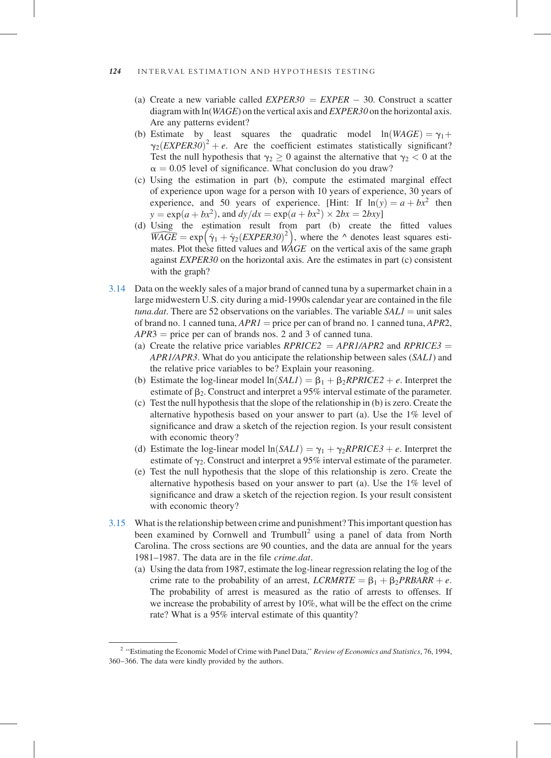- (a) Create a new variable called  $EXPER30 = EXPER 30$ . Construct a scatter diagram with ln(WAGE) on the vertical axis and EXPER30 on the horizontal axis. Are any patterns evident?
- (b) Estimate by least squares the quadratic model  $ln(WAGE) = \gamma_1 +$  $\gamma_2(EXPER30)^2 + e$ . Are the coefficient estimates statistically significant? Test the null hypothesis that  $\gamma_2 \geq 0$  against the alternative that  $\gamma_2 < 0$  at the  $\alpha = 0.05$  level of significance. What conclusion do you draw?
- (c) Using the estimation in part (b), compute the estimated marginal effect of experience upon wage for a person with 10 years of experience, 30 years of experience, and 50 years of experience. [Hint: If  $ln(y) = a + bx^2$  then  $y = \exp(a + bx^2)$ , and  $dy/dx = \exp(a + bx^2) \times 2bx = 2bxy$
- (d) Using the estimation result from part (b) create the fitted values  $\widetilde{WAGE} = \exp \left( \hat{\gamma}_1 + \hat{\gamma}_2 (EXPER30)^2 \right)$ , where the  $\wedge$  denotes least squares estimates. Plot these fitted values and  $W\!\!AGE$  on the vertical axis of the same graph against *EXPER30* on the horizontal axis. Are the estimates in part (c) consistent with the graph?
- 3.14 Data on the weekly sales of a major brand of canned tuna by a supermarket chain in a large midwestern U.S. city during a mid-1990s calendar year are contained in the file tuna.dat. There are 52 observations on the variables. The variable  $SALI =$  unit sales of brand no. 1 canned tuna,  $APRI =$  price per can of brand no. 1 canned tuna,  $APR2$ ,  $APR3$  = price per can of brands nos. 2 and 3 of canned tuna.
	- (a) Create the relative price variables  $RPRICE2 = APR1/APR2$  and  $RPRICE3 =$ APR1/APR3. What do you anticipate the relationship between sales (SAL1) and the relative price variables to be? Explain your reasoning.
	- (b) Estimate the log-linear model  $ln(SALI) = \beta_1 + \beta_2 RPRICE2 + e$ . Interpret the estimate of  $\beta_2$ . Construct and interpret a 95% interval estimate of the parameter.
	- (c) Test the null hypothesis that the slope of the relationship in (b) is zero. Create the alternative hypothesis based on your answer to part (a). Use the 1% level of significance and draw a sketch of the rejection region. Is your result consistent with economic theory?
	- (d) Estimate the log-linear model  $ln(SALI) = \gamma_1 + \gamma_2 RPRICE3 + e$ . Interpret the estimate of  $\gamma_2$ . Construct and interpret a 95% interval estimate of the parameter.
	- (e) Test the null hypothesis that the slope of this relationship is zero. Create the alternative hypothesis based on your answer to part (a). Use the 1% level of significance and draw a sketch of the rejection region. Is your result consistent with economic theory?
- 3.15 What is the relationship between crime and punishment? This important question has been examined by Cornwell and Trumbull<sup>2</sup> using a panel of data from North Carolina. The cross sections are 90 counties, and the data are annual for the years 1981–1987. The data are in the file crime.dat.
	- (a) Using the data from 1987, estimate the log-linear regression relating the log of the crime rate to the probability of an arrest,  $LCRMRTE = \beta_1 + \beta_2 PRBAR + e$ . The probability of arrest is measured as the ratio of arrests to offenses. If we increase the probability of arrest by 10%, what will be the effect on the crime rate? What is a 95% interval estimate of this quantity?

<sup>&</sup>lt;sup>2</sup> "Estimating the Economic Model of Crime with Panel Data," Review of Economics and Statistics, 76, 1994, 360–366. The data were kindly provided by the authors.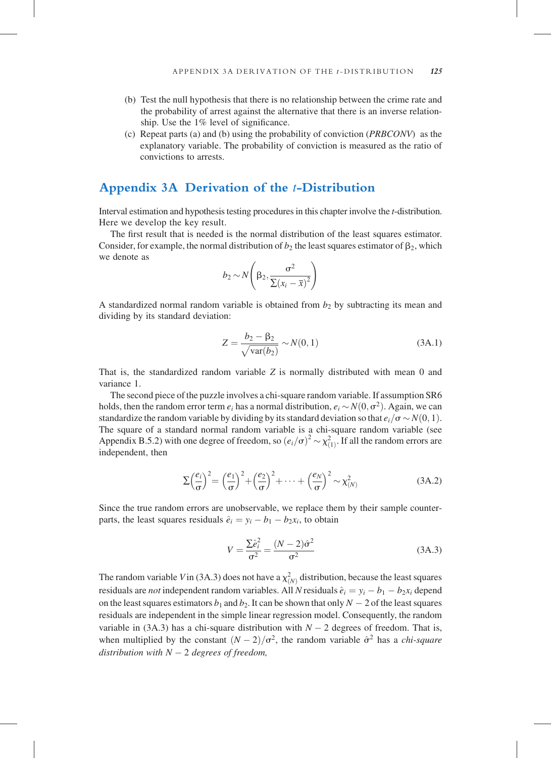#### APPENDIX 3A DERIVATION OF THE  $t$ -DISTRIBUTION 125

- (b) Test the null hypothesis that there is no relationship between the crime rate and the probability of arrest against the alternative that there is an inverse relationship. Use the 1% level of significance.
- (c) Repeat parts (a) and (b) using the probability of conviction (PRBCONV) as the explanatory variable. The probability of conviction is measured as the ratio of convictions to arrests.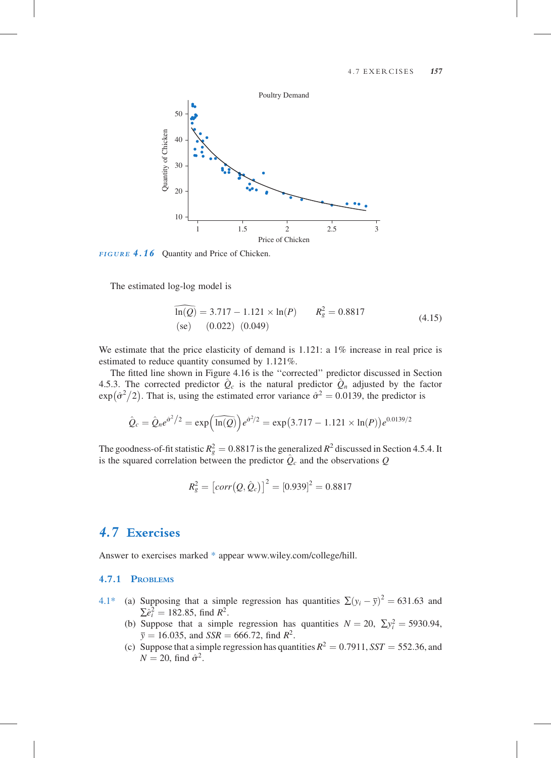#### 4.7.1 PROBLEMS

- 4.1\* (a) Supposing that a simple regression has quantities  $\sum (y_i \overline{y})^2 = 631.63$  and  $\sum \hat{e}_i^2 = 182.85$ , find  $R^2$ .
	- (b) Suppose that a simple regression has quantities  $N = 20$ ,  $\Sigma y_i^2 = 5930.94$ ,  $\bar{v} = 16.035$ , and  $SSR = 666.72$ , find  $R^2$ .
	- (c) Suppose that a simple regression has quantities  $R^2 = 0.7911$ ,  $SST = 552.36$ , and  $N = 20$ , find  $\hat{\sigma}^2$ .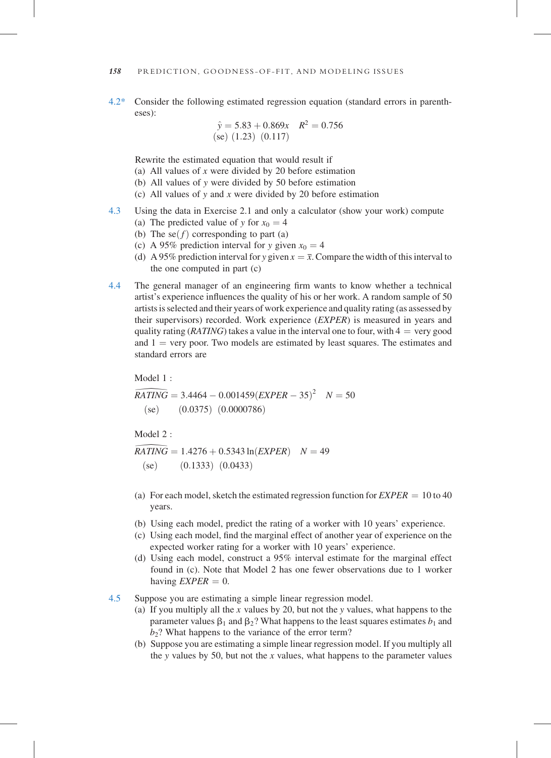4.2\* Consider the following estimated regression equation (standard errors in parentheses):

$$
\hat{y} = 5.83 + 0.869x \quad R^2 = 0.756
$$
  
(se) (1.23) (0.117)

Rewrite the estimated equation that would result if

- (a) All values of  $x$  were divided by 20 before estimation
- (b) All values of y were divided by 50 before estimation
- (c) All values of y and x were divided by 20 before estimation
- 4.3 Using the data in Exercise 2.1 and only a calculator (show your work) compute
	- (a) The predicted value of y for  $x_0 = 4$
	- (b) The se $(f)$  corresponding to part (a)
	- (c) A 95% prediction interval for y given  $x_0 = 4$
	- (d) A 95% prediction interval for y given  $x = \overline{x}$ . Compare the width of this interval to the one computed in part (c)
- 4.4 The general manager of an engineering firm wants to know whether a technical artist's experience influences the quality of his or her work. A random sample of 50 artists is selected and their years of work experience and quality rating (as assessed by their supervisors) recorded. Work experience (EXPER) is measured in years and quality rating ( $RATING$ ) takes a value in the interval one to four, with  $4 = \text{very good}$ and  $1 = \text{very poor}$ . Two models are estimated by least squares. The estimates and standard errors are

Model 1 :

 $\widehat{RATING} = 3.4464 - 0.001459(\text{EXPER} - 35)^2$   $N = 50$ <br>
(se) (0.0375) (0.0000786)<br>
Model 2:<br>  $\widehat{RATING} = 1.4276 + 0.5343 \ln(\text{EXPER})$   $N = 49$  $(se)$  (0.0375) (0.0000786)

Model  $2 \cdot$ 

 $(se)$  (0.1333)  $(0.0433)$ 

- RATING = 1.4276 + 0.5343 ln $(EXPER)$   $N = 49$ <br>
(se) (0.1333) (0.0433)<br>
(a) For each model, sketch the estimated regression function for  $EXPER = 10$  to 40<br>
vears years.
- (b) Using each model, predict the rating of a worker with 10 years' experience.
- (c) Using each model, find the marginal effect of another year of experience on the expected worker rating for a worker with 10 years' experience.
- (d) Using each model, construct a 95% interval estimate for the marginal effect found in (c). Note that Model 2 has one fewer observations due to 1 worker having  $EXPER = 0$ .
- 4.5 Suppose you are estimating a simple linear regression model.
	- (a) If you multiply all the x values by 20, but not the y values, what happens to the parameter values  $\beta_1$  and  $\beta_2$ ? What happens to the least squares estimates  $b_1$  and  $b_2$ ? What happens to the variance of the error term?
	- (b) Suppose you are estimating a simple linear regression model. If you multiply all the y values by 50, but not the  $x$  values, what happens to the parameter values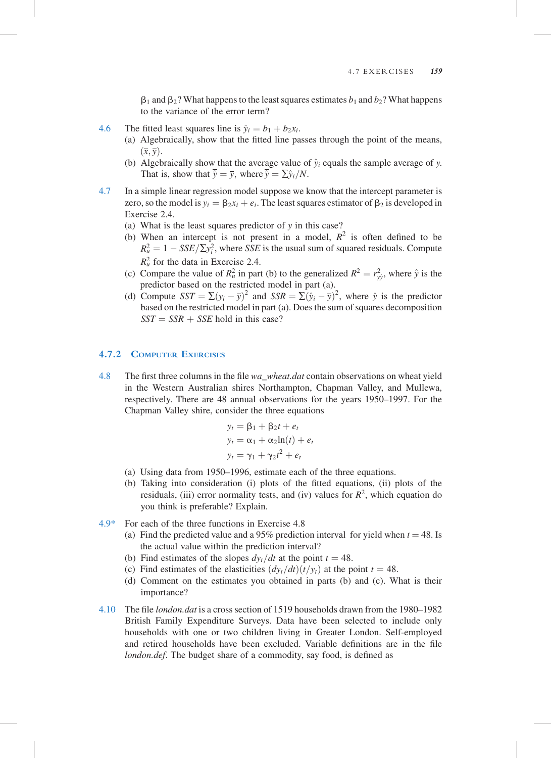$\beta_1$  and  $\beta_2$ ? What happens to the least squares estimates  $b_1$  and  $b_2$ ? What happens to the variance of the error term?

- 4.6 The fitted least squares line is  $\hat{y}_i = b_1 + b_2x_i$ .
	- (a) Algebraically, show that the fitted line passes through the point of the means,  $(\overline{x}, \overline{y})$ .
	- (b) Algebraically show that the average value of  $\hat{y}_i$  equals the sample average of y. That is, show that  $\overline{\hat{v}} = \overline{v}$ , where  $\overline{\hat{v}} = \sum \hat{v}_i/N$ .
- 4.7 In a simple linear regression model suppose we know that the intercept parameter is zero, so the model is  $y_i = \beta_2 x_i + e_i$ . The least squares estimator of  $\beta_2$  is developed in Exercise 2.4.
	- (a) What is the least squares predictor of y in this case?
	- (b) When an intercept is not present in a model,  $R^2$  is often defined to be  $R_u^2 = 1 - SSE/\sum y_i^2$ , where SSE is the usual sum of squared residuals. Compute  $R_u^2$  for the data in Exercise 2.4.
	- (c) Compare the value of  $R_u^2$  in part (b) to the generalized  $R^2 = r_{y\hat{y}}^2$ , where  $\hat{y}$  is the predictor based on the restricted model in part (a).
	- (d) Compute  $SST = \sum (y_i \overline{y})^2$  and  $SSR = \sum (\hat{y}_i \overline{y})^2$ , where  $\hat{y}$  is the predictor based on the restricted model in part (a). Does the sum of squares decomposition  $SST = SSR + SSE$  hold in this case?

### 4.7.2 COMPUTER EXERCISES

4.8 The first three columns in the file wa\_wheat.dat contain observations on wheat yield in the Western Australian shires Northampton, Chapman Valley, and Mullewa, respectively. There are 48 annual observations for the years 1950–1997. For the Chapman Valley shire, consider the three equations

$$
y_t = \beta_1 + \beta_2 t + e_t
$$
  
\n
$$
y_t = \alpha_1 + \alpha_2 \ln(t) + e_t
$$
  
\n
$$
y_t = \gamma_1 + \gamma_2 t^2 + e_t
$$

- (a) Using data from 1950–1996, estimate each of the three equations.
- (b) Taking into consideration (i) plots of the fitted equations, (ii) plots of the residuals, (iii) error normality tests, and (iv) values for  $R^2$ , which equation do you think is preferable? Explain.
- 4.9\* For each of the three functions in Exercise 4.8
	- (a) Find the predicted value and a 95% prediction interval for yield when  $t = 48$ . Is the actual value within the prediction interval?
	- (b) Find estimates of the slopes  $dy_t/dt$  at the point  $t = 48$ .
	- (c) Find estimates of the elasticities  $\left(\frac{dy_t}{dt}\right)(t/y_t)$  at the point  $t = 48$ .
	- (d) Comment on the estimates you obtained in parts (b) and (c). What is their importance?
- 4.10 The file london.dat is a cross section of 1519 households drawn from the 1980–1982 British Family Expenditure Surveys. Data have been selected to include only households with one or two children living in Greater London. Self-employed and retired households have been excluded. Variable definitions are in the file london.def. The budget share of a commodity, say food, is defined as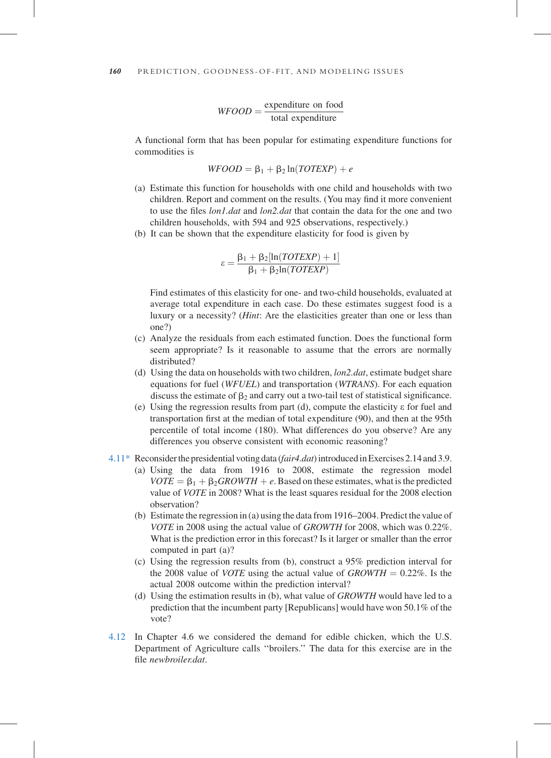$WFOOD = \frac{\text{expenditure on food}}{\text{total expenditure}}$ 

A functional form that has been popular for estimating expenditure functions for commodities is

$$
WFOOD = \beta_1 + \beta_2 \ln(TOTEXP) + e
$$

- (a) Estimate this function for households with one child and households with two children. Report and comment on the results. (You may find it more convenient to use the files *lon1.dat* and *lon2.dat* that contain the data for the one and two children households, with 594 and 925 observations, respectively.)
- (b) It can be shown that the expenditure elasticity for food is given by

$$
\varepsilon = \frac{\beta_1 + \beta_2 [\ln(TOTEXP) + 1]}{\beta_1 + \beta_2 \ln(TOTEXP)}
$$

Find estimates of this elasticity for one- and two-child households, evaluated at average total expenditure in each case. Do these estimates suggest food is a luxury or a necessity? (Hint: Are the elasticities greater than one or less than one?)

- (c) Analyze the residuals from each estimated function. Does the functional form seem appropriate? Is it reasonable to assume that the errors are normally distributed?
- (d) Using the data on households with two children,  $lon2.dat$ , estimate budget share equations for fuel (WFUEL) and transportation (WTRANS). For each equation discuss the estimate of  $\beta_2$  and carry out a two-tail test of statistical significance.
- (e) Using the regression results from part (d), compute the elasticity e for fuel and transportation first at the median of total expenditure (90), and then at the 95th percentile of total income (180). What differences do you observe? Are any differences you observe consistent with economic reasoning?
- 4.11\* Reconsider the presidential voting data (fair 4.dat) introduced in Exercises 2.14 and 3.9.
	- (a) Using the data from 1916 to 2008, estimate the regression model  $VOTE = \beta_1 + \beta_2 GROWTH + e$ . Based on these estimates, what is the predicted value of VOTE in 2008? What is the least squares residual for the 2008 election observation?
	- (b) Estimate the regression in (a) using the data from 1916–2004. Predict the value of VOTE in 2008 using the actual value of GROWTH for 2008, which was 0.22%. What is the prediction error in this forecast? Is it larger or smaller than the error computed in part (a)?
	- (c) Using the regression results from (b), construct a 95% prediction interval for the 2008 value of *VOTE* using the actual value of  $GROWTH = 0.22\%$ . Is the actual 2008 outcome within the prediction interval?
	- (d) Using the estimation results in (b), what value of GROWTH would have led to a prediction that the incumbent party [Republicans] would have won 50.1% of the vote?
- 4.12 In Chapter 4.6 we considered the demand for edible chicken, which the U.S. Department of Agriculture calls ''broilers.'' The data for this exercise are in the file newbroiler.dat.